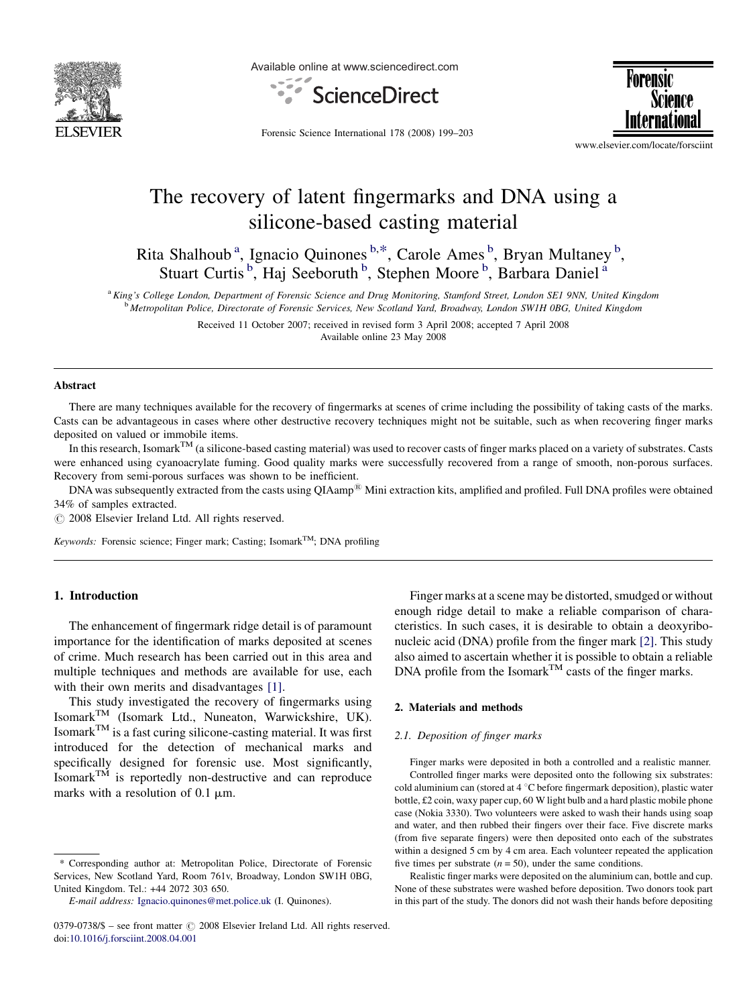

Available online at www.sciencedirect.com





Forensic Science International 178 (2008) 199–203

www.elsevier.com/locate/forsciint

# The recovery of latent fingermarks and DNA using a silicone-based casting material

Rita Shalhoub<sup>a</sup>, Ignacio Quinones<sup>b,\*</sup>, Carole Ames<sup>b</sup>, Bryan Multaney<sup>b</sup>, Stuart Curtis<sup>b</sup>, Haj Seeboruth<sup>b</sup>, Stephen Moore<sup>b</sup>, Barbara Daniel<sup>a</sup>

<sup>a</sup> King's College London, Department of Forensic Science and Drug Monitoring, Stamford Street, London SE1 9NN, United Kingdom <sup>b</sup> Metropolitan Police, Directorate of Forensic Services, New Scotland Yard, Broadway, London SW1H 0BG, United Kingdom

> Received 11 October 2007; received in revised form 3 April 2008; accepted 7 April 2008 Available online 23 May 2008

## Abstract

There are many techniques available for the recovery of fingermarks at scenes of crime including the possibility of taking casts of the marks. Casts can be advantageous in cases where other destructive recovery techniques might not be suitable, such as when recovering finger marks deposited on valued or immobile items.

In this research, Isomark<sup>TM</sup> (a silicone-based casting material) was used to recover casts of finger marks placed on a variety of substrates. Casts were enhanced using cyanoacrylate fuming. Good quality marks were successfully recovered from a range of smooth, non-porous surfaces. Recovery from semi-porous surfaces was shown to be inefficient.

DNA was subsequently extracted from the casts using QIAamp<sup>®</sup> Mini extraction kits, amplified and profiled. Full DNA profiles were obtained 34% of samples extracted.

 $\odot$  2008 Elsevier Ireland Ltd. All rights reserved.

Keywords: Forensic science; Finger mark; Casting; Isomark<sup>TM</sup>; DNA profiling

## 1. Introduction

The enhancement of fingermark ridge detail is of paramount importance for the identification of marks deposited at scenes of crime. Much research has been carried out in this area and multiple techniques and methods are available for use, each with their own merits and disadvantages [\[1\].](#page-4-0)

This study investigated the recovery of fingermarks using IsomarkTM (Isomark Ltd., Nuneaton, Warwickshire, UK). Isomark $^{TM}$  is a fast curing silicone-casting material. It was first introduced for the detection of mechanical marks and specifically designed for forensic use. Most significantly, IsomarkTM is reportedly non-destructive and can reproduce marks with a resolution of 0.1  $\mu$ m.

Finger marks at a scene may be distorted, smudged or without enough ridge detail to make a reliable comparison of characteristics. In such cases, it is desirable to obtain a deoxyribonucleic acid (DNA) profile from the finger mark [\[2\]](#page-4-0). This study also aimed to ascertain whether it is possible to obtain a reliable DNA profile from the Isomark<sup>TM</sup> casts of the finger marks.

## 2. Materials and methods

## 2.1. Deposition of finger marks

Finger marks were deposited in both a controlled and a realistic manner. Controlled finger marks were deposited onto the following six substrates: cold aluminium can (stored at  $4^{\circ}$ C before fingermark deposition), plastic water bottle, £2 coin, waxy paper cup, 60 W light bulb and a hard plastic mobile phone case (Nokia 3330). Two volunteers were asked to wash their hands using soap and water, and then rubbed their fingers over their face. Five discrete marks (from five separate fingers) were then deposited onto each of the substrates within a designed 5 cm by 4 cm area. Each volunteer repeated the application five times per substrate  $(n = 50)$ , under the same conditions.

Realistic finger marks were deposited on the aluminium can, bottle and cup. None of these substrates were washed before deposition. Two donors took part in this part of the study. The donors did not wash their hands before depositing

<sup>\*</sup> Corresponding author at: Metropolitan Police, Directorate of Forensic Services, New Scotland Yard, Room 761v, Broadway, London SW1H 0BG, United Kingdom. Tel.: +44 2072 303 650.

E-mail address: [Ignacio.quinones@met.police.uk](mailto:Ignacio.quinones@met.police.uk) (I. Quinones).

<sup>0379-0738/\$ –</sup> see front matter  $\odot$  2008 Elsevier Ireland Ltd. All rights reserved. doi:[10.1016/j.forsciint.2008.04.001](http://dx.doi.org/10.1016/j.forsciint.2008.04.001)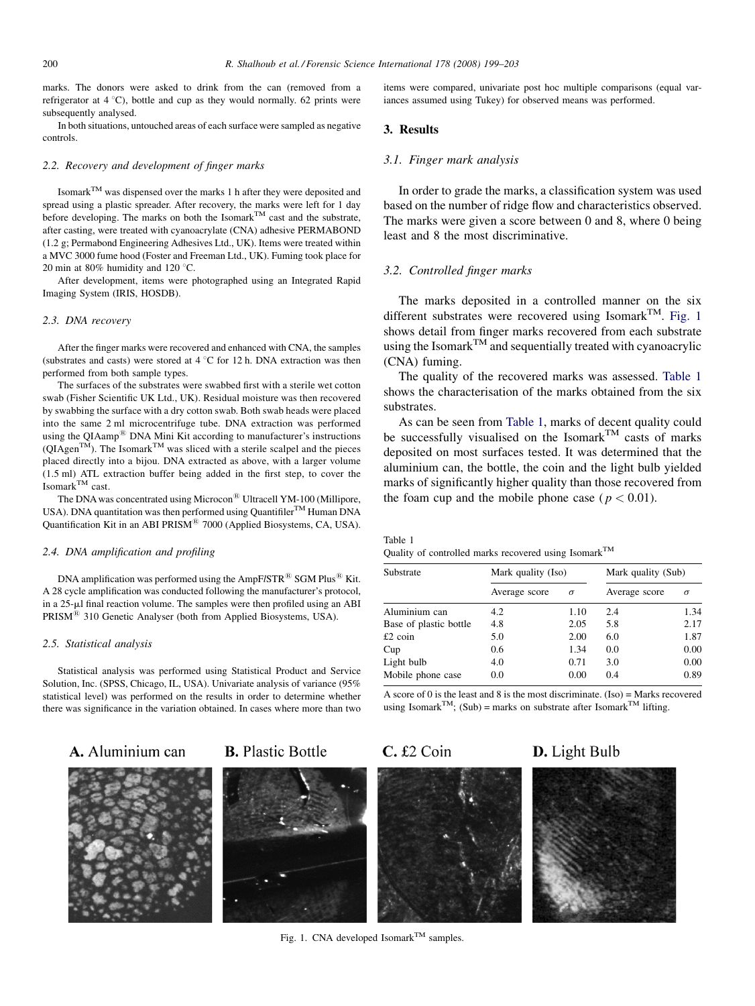<span id="page-1-0"></span>marks. The donors were asked to drink from the can (removed from a refrigerator at  $4^{\circ}$ C), bottle and cup as they would normally. 62 prints were subsequently analysed.

In both situations, untouched areas of each surface were sampled as negative controls.

## 2.2. Recovery and development of finger marks

IsomarkTM was dispensed over the marks 1 h after they were deposited and spread using a plastic spreader. After recovery, the marks were left for 1 day before developing. The marks on both the Isomark<sup>TM</sup> cast and the substrate, after casting, were treated with cyanoacrylate (CNA) adhesive PERMABOND (1.2 g; Permabond Engineering Adhesives Ltd., UK). Items were treated within a MVC 3000 fume hood (Foster and Freeman Ltd., UK). Fuming took place for 20 min at 80% humidity and 120 $\degree$ C.

After development, items were photographed using an Integrated Rapid Imaging System (IRIS, HOSDB).

## 2.3. DNA recovery

After the finger marks were recovered and enhanced with CNA, the samples (substrates and casts) were stored at  $4^{\circ}$ C for 12 h. DNA extraction was then performed from both sample types.

The surfaces of the substrates were swabbed first with a sterile wet cotton swab (Fisher Scientific UK Ltd., UK). Residual moisture was then recovered by swabbing the surface with a dry cotton swab. Both swab heads were placed into the same 2 ml microcentrifuge tube. DNA extraction was performed using the QIAamp $^{(8)}$  DNA Mini Kit according to manufacturer's instructions  $(QIAgen^{TM})$ . The Isomark<sup>TM</sup> was sliced with a sterile scalpel and the pieces placed directly into a bijou. DNA extracted as above, with a larger volume (1.5 ml) ATL extraction buffer being added in the first step, to cover the IsomarkTM cast.

The DNA was concentrated using Microcon<sup>®</sup> Ultracell YM-100 (Millipore, USA). DNA quantitation was then performed using Quantifiler<sup>TM</sup> Human DNA Quantification Kit in an ABI PRISM<sup>®</sup> 7000 (Applied Biosystems, CA, USA).

#### 2.4. DNA amplification and profiling

DNA amplification was performed using the AmpF/STR® SGM Plus® Kit. A 28 cycle amplification was conducted following the manufacturer's protocol, in a 25-µl final reaction volume. The samples were then profiled using an ABI PRISM<sup>®</sup> 310 Genetic Analyser (both from Applied Biosystems, USA).

## 2.5. Statistical analysis

Statistical analysis was performed using Statistical Product and Service Solution, Inc. (SPSS, Chicago, IL, USA). Univariate analysis of variance (95% statistical level) was performed on the results in order to determine whether there was significance in the variation obtained. In cases where more than two

## A. Aluminium can

## **B.** Plastic Bottle



items were compared, univariate post hoc multiple comparisons (equal variances assumed using Tukey) for observed means was performed.

## 3. Results

#### 3.1. Finger mark analysis

In order to grade the marks, a classification system was used based on the number of ridge flow and characteristics observed. The marks were given a score between 0 and 8, where 0 being least and 8 the most discriminative.

## 3.2. Controlled finger marks

The marks deposited in a controlled manner on the six different substrates were recovered using Isomark<sup>TM</sup>. Fig. 1 shows detail from finger marks recovered from each substrate using the Isomark $^{TM}$  and sequentially treated with cyanoacrylic (CNA) fuming.

The quality of the recovered marks was assessed. Table 1 shows the characterisation of the marks obtained from the six substrates.

As can be seen from Table 1, marks of decent quality could be successfully visualised on the Isomark<sup>TM</sup> casts of marks deposited on most surfaces tested. It was determined that the aluminium can, the bottle, the coin and the light bulb yielded marks of significantly higher quality than those recovered from the foam cup and the mobile phone case ( $p < 0.01$ ).

Table 1

Quality of controlled marks recovered using Isomark<sup>TM</sup>

| Substrate              | Mark quality (Iso) |          | Mark quality (Sub) |          |
|------------------------|--------------------|----------|--------------------|----------|
|                        | Average score      | $\sigma$ | Average score      | $\sigma$ |
| Aluminium can          | 4.2                | 1.10     | 2.4                | 1.34     |
| Base of plastic bottle | 4.8                | 2.05     | 5.8                | 2.17     |
| $£2$ coin              | 5.0                | 2.00     | 6.0                | 1.87     |
| Cup                    | 0.6                | 1.34     | 0.0                | 0.00     |
| Light bulb             | 4.0                | 0.71     | 3.0                | 0.00     |
| Mobile phone case      | 0.0                | 0.00     | 0.4                | 0.89     |

A score of 0 is the least and 8 is the most discriminate. (Iso) = Marks recovered using Isomark<sup>TM</sup>; (Sub) = marks on substrate after Isomark<sup>TM</sup> lifting.

 $C.$  £2 Coin

## D. Light Bulb



Fig. 1. CNA developed Isomark<sup>TM</sup> samples.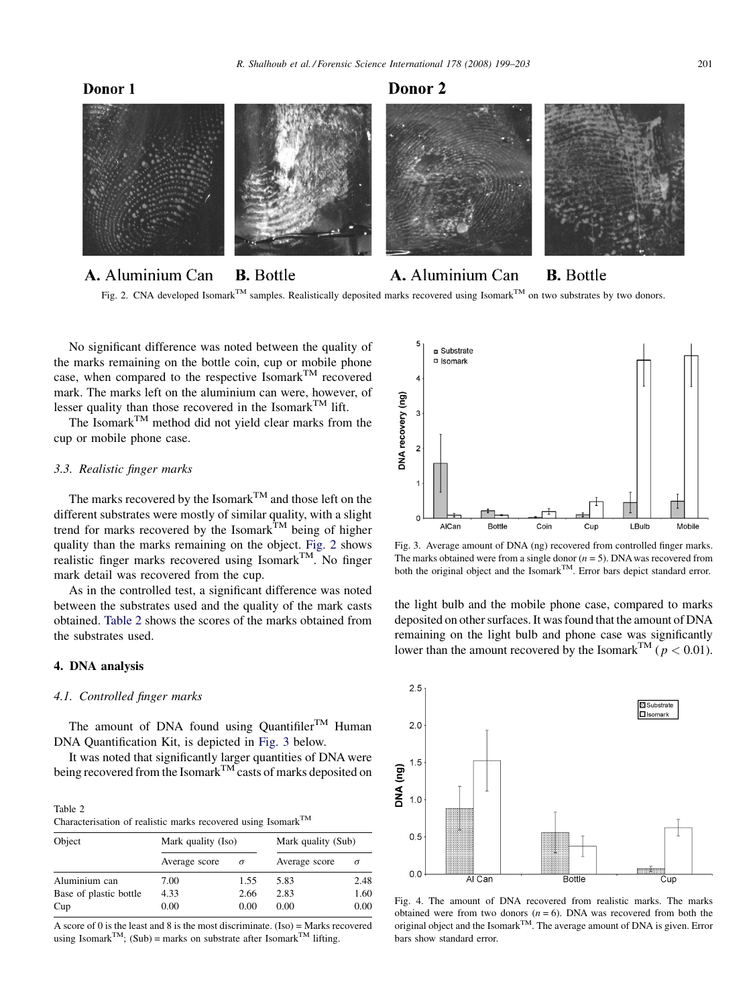<span id="page-2-0"></span>

#### A. Aluminium Can A. Aluminium Can **B.** Bottle **B.** Bottle

Fig. 2. CNA developed Isomark<sup>TM</sup> samples. Realistically deposited marks recovered using Isomark<sup>TM</sup> on two substrates by two donors.

No significant difference was noted between the quality of the marks remaining on the bottle coin, cup or mobile phone case, when compared to the respective Isomark<sup>TM</sup> recovered mark. The marks left on the aluminium can were, however, of lesser quality than those recovered in the Isomark<sup>TM</sup> lift.

The IsomarkTM method did not yield clear marks from the cup or mobile phone case.

## 3.3. Realistic finger marks

The marks recovered by the Isomark<sup>TM</sup> and those left on the different substrates were mostly of similar quality, with a slight trend for marks recovered by the Isomark<sup>TM</sup> being of higher quality than the marks remaining on the object. Fig. 2 shows realistic finger marks recovered using IsomarkTM. No finger mark detail was recovered from the cup.

As in the controlled test, a significant difference was noted between the substrates used and the quality of the mark casts obtained. Table 2 shows the scores of the marks obtained from the substrates used.

## 4. DNA analysis

## 4.1. Controlled finger marks

The amount of DNA found using Quantifiler<sup>TM</sup> Human DNA Quantification Kit, is depicted in Fig. 3 below.

It was noted that significantly larger quantities of DNA were  $\mu$  was noted that significantly imper quantum  $\mu$  =

Table 2 Characterisation of realistic marks recovered using Isomark<sup>TM</sup>

| Object                 | Mark quality (Iso) |          | Mark quality (Sub) |      |
|------------------------|--------------------|----------|--------------------|------|
|                        | Average score      | $\sigma$ | Average score      |      |
| Aluminium can          | 7.00               | 1.55     | 5.83               | 2.48 |
| Base of plastic bottle | 4.33               | 2.66     | 2.83               | 1.60 |
| Cup                    | 0.00               | 0.00     | 0.00               | 0.00 |

A score of 0 is the least and 8 is the most discriminate. (Iso) = Marks recovered using Isomark<sup>TM</sup>; (Sub) = marks on substrate after Isomark<sup>TM</sup> lifting.



Fig. 3. Average amount of DNA (ng) recovered from controlled finger marks. The marks obtained were from a single donor  $(n = 5)$ . DNA was recovered from both the original object and the Isomark<sup>TM</sup>. Error bars depict standard error.

the light bulb and the mobile phone case, compared to marks deposited on other surfaces. It was found that the amount of DNA remaining on the light bulb and phone case was significantly lower than the amount recovered by the Isomark<sup>TM</sup> ( $p < 0.01$ ).



Fig. 4. The amount of DNA recovered from realistic marks. The marks obtained were from two donors ( $n = 6$ ). DNA was recovered from both the original object and the Isomark<sup>TM</sup>. The average amount of DNA is given. Error bars show standard error.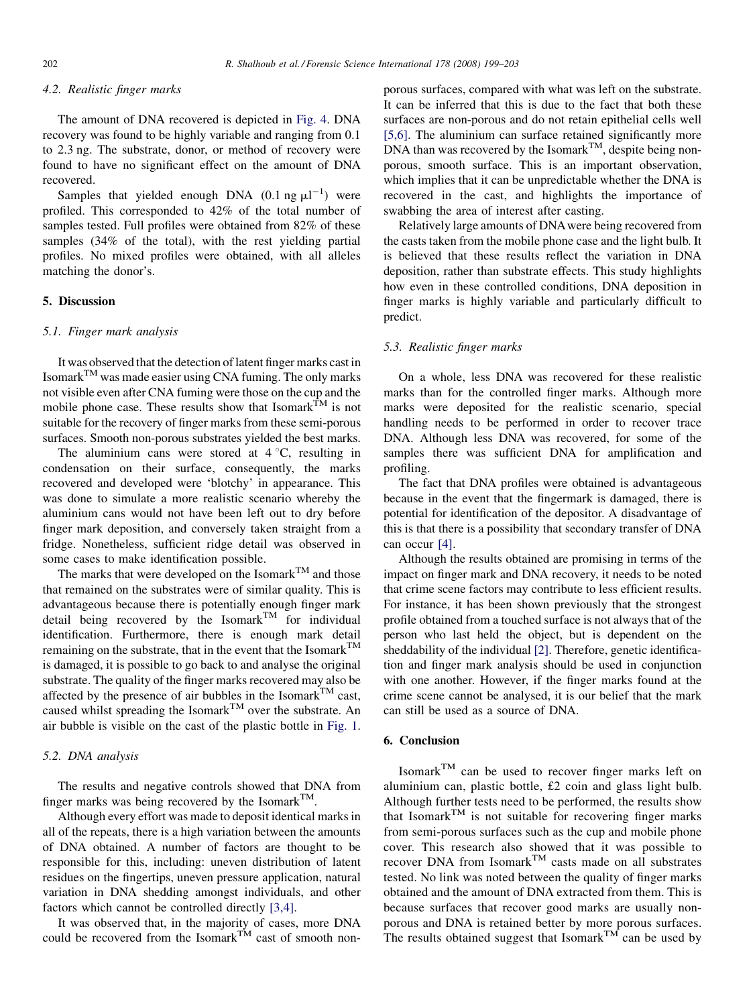## 4.2. Realistic finger marks

The amount of DNA recovered is depicted in [Fig. 4.](#page-2-0) DNA recovery was found to be highly variable and ranging from 0.1 to 2.3 ng. The substrate, donor, or method of recovery were found to have no significant effect on the amount of DNA recovered.

Samples that yielded enough DNA  $(0.1 \text{ ng } \mu l^{-1})$  were profiled. This corresponded to 42% of the total number of samples tested. Full profiles were obtained from 82% of these samples (34% of the total), with the rest yielding partial profiles. No mixed profiles were obtained, with all alleles matching the donor's.

## 5. Discussion

## 5.1. Finger mark analysis

It was observed that the detection of latent finger marks cast in IsomarkTM was made easier using CNA fuming. The only marks not visible even after CNA fuming were those on the cup and the mobile phone case. These results show that Isomark<sup>TM</sup> is not suitable for the recovery of finger marks from these semi-porous surfaces. Smooth non-porous substrates yielded the best marks.

The aluminium cans were stored at  $4^{\circ}C$ , resulting in condensation on their surface, consequently, the marks recovered and developed were 'blotchy' in appearance. This was done to simulate a more realistic scenario whereby the aluminium cans would not have been left out to dry before finger mark deposition, and conversely taken straight from a fridge. Nonetheless, sufficient ridge detail was observed in some cases to make identification possible.

The marks that were developed on the Isomark<sup>TM</sup> and those that remained on the substrates were of similar quality. This is advantageous because there is potentially enough finger mark detail being recovered by the Isomark<sup>TM</sup> for individual identification. Furthermore, there is enough mark detail remaining on the substrate, that in the event that the Isomark<sup>TM</sup> is damaged, it is possible to go back to and analyse the original substrate. The quality of the finger marks recovered may also be affected by the presence of air bubbles in the Isomark<sup>TM</sup> cast, caused whilst spreading the Isomark<sup>TM</sup> over the substrate. An air bubble is visible on the cast of the plastic bottle in [Fig. 1](#page-1-0).

## 5.2. DNA analysis

The results and negative controls showed that DNA from finger marks was being recovered by the IsomarkTM.

Although every effort was made to deposit identical marks in all of the repeats, there is a high variation between the amounts of DNA obtained. A number of factors are thought to be responsible for this, including: uneven distribution of latent residues on the fingertips, uneven pressure application, natural variation in DNA shedding amongst individuals, and other factors which cannot be controlled directly [\[3,4\].](#page-4-0)

It was observed that, in the majority of cases, more DNA could be recovered from the Isomark $^{T\tilde{M}}$  cast of smooth nonporous surfaces, compared with what was left on the substrate. It can be inferred that this is due to the fact that both these surfaces are non-porous and do not retain epithelial cells well [\[5,6\].](#page-4-0) The aluminium can surface retained significantly more DNA than was recovered by the Isomark<sup>TM</sup>, despite being nonporous, smooth surface. This is an important observation, which implies that it can be unpredictable whether the DNA is recovered in the cast, and highlights the importance of swabbing the area of interest after casting.

Relatively large amounts of DNAwere being recovered from the casts taken from the mobile phone case and the light bulb. It is believed that these results reflect the variation in DNA deposition, rather than substrate effects. This study highlights how even in these controlled conditions, DNA deposition in finger marks is highly variable and particularly difficult to predict.

## 5.3. Realistic finger marks

On a whole, less DNA was recovered for these realistic marks than for the controlled finger marks. Although more marks were deposited for the realistic scenario, special handling needs to be performed in order to recover trace DNA. Although less DNA was recovered, for some of the samples there was sufficient DNA for amplification and profiling.

The fact that DNA profiles were obtained is advantageous because in the event that the fingermark is damaged, there is potential for identification of the depositor. A disadvantage of this is that there is a possibility that secondary transfer of DNA can occur [\[4\]](#page-4-0).

Although the results obtained are promising in terms of the impact on finger mark and DNA recovery, it needs to be noted that crime scene factors may contribute to less efficient results. For instance, it has been shown previously that the strongest profile obtained from a touched surface is not always that of the person who last held the object, but is dependent on the sheddability of the individual [\[2\]](#page-4-0). Therefore, genetic identification and finger mark analysis should be used in conjunction with one another. However, if the finger marks found at the crime scene cannot be analysed, it is our belief that the mark can still be used as a source of DNA.

## 6. Conclusion

IsomarkTM can be used to recover finger marks left on aluminium can, plastic bottle, £2 coin and glass light bulb. Although further tests need to be performed, the results show that IsomarkTM is not suitable for recovering finger marks from semi-porous surfaces such as the cup and mobile phone cover. This research also showed that it was possible to recover DNA from Isomark<sup>TM</sup> casts made on all substrates tested. No link was noted between the quality of finger marks obtained and the amount of DNA extracted from them. This is because surfaces that recover good marks are usually nonporous and DNA is retained better by more porous surfaces. The results obtained suggest that Isomark<sup>TM</sup> can be used by